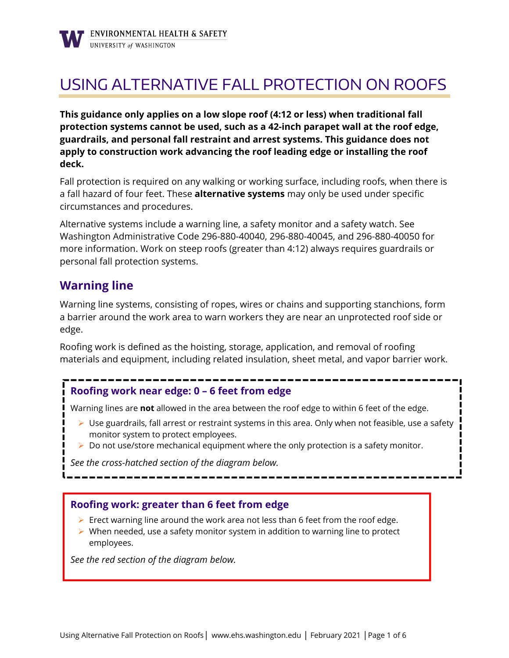# USING ALTERNATIVE FALL PROTECTION ON ROOFS

**This guidance only applies on a low slope roof (4:12 or less) when traditional fall protection systems cannot be used, such as a 42-inch parapet wall at the roof edge, guardrails, and personal fall restraint and arrest systems. This guidance does not apply to construction work advancing the roof leading edge or installing the roof deck.**

Fall protection is required on any walking or working surface, including roofs, when there is a fall hazard of four feet. These **alternative systems** may only be used under specific circumstances and procedures.

Alternative systems include a warning line, a safety monitor and a safety watch. See Washington Administrative Code 296-880-40040, 296-880-40045, and 296-880-40050 for more information. Work on steep roofs (greater than 4:12) always requires guardrails or personal fall protection systems.

### **Warning line**

Warning line systems, consisting of ropes, wires or chains and supporting stanchions, form a barrier around the work area to warn workers they are near an unprotected roof side or edge.

Roofing work is defined as the hoisting, storage, application, and removal of roofing materials and equipment, including related insulation, sheet metal, and vapor barrier work.

### **Roofing work near edge: 0 – 6 feet from edge**

Warning lines are **not** allowed in the area between the roof edge to within 6 feet of the edge.

- $\triangleright$  Use guardrails, fall arrest or restraint systems in this area. Only when not feasible, use a safety monitor system to protect employees.
- $\triangleright$  Do not use/store mechanical equipment where the only protection is a safety monitor.

*See the cross-hatched section of the diagram below.*

### **Roofing work: greater than 6 feet from edge**

- $\triangleright$  Erect warning line around the work area not less than 6 feet from the roof edge.
- $\triangleright$  When needed, use a safety monitor system in addition to warning line to protect employees.

*See the red section of the diagram below.*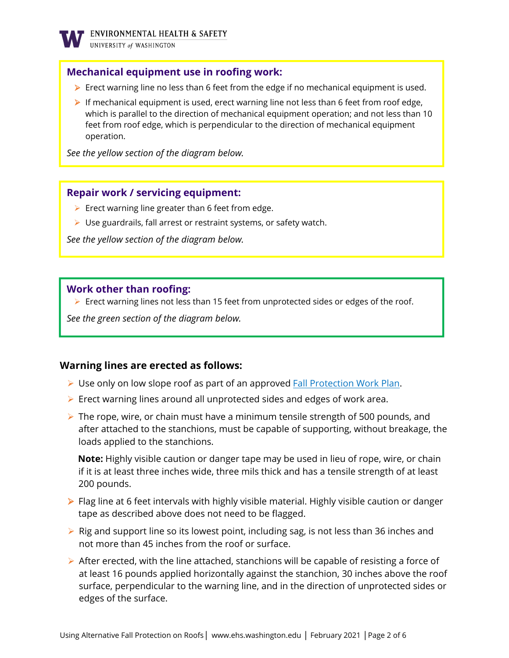

### **Mechanical equipment use in roofing work:**

- Erect warning line no less than 6 feet from the edge if no mechanical equipment is used.
- If mechanical equipment is used, erect warning line not less than 6 feet from roof edge, which is parallel to the direction of mechanical equipment operation; and not less than 10 feet from roof edge, which is perpendicular to the direction of mechanical equipment operation.

*See the yellow section of the diagram below.* 

#### **Repair work / servicing equipment:**

- $\triangleright$  Erect warning line greater than 6 feet from edge.
- $\triangleright$  Use guardrails, fall arrest or restraint systems, or safety watch.

*See the yellow section of the diagram below.* 

#### **Work other than roofing:**

 $\triangleright$  Erect warning lines not less than 15 feet from unprotected sides or edges of the roof.

*See the green section of the diagram below.* 

#### **Warning lines are erected as follows:**

- **Dom** Use only on low slope roof as part of an approved **Fall Protection Work Plan.**
- $\triangleright$  Erect warning lines around all unprotected sides and edges of work area.
- $\triangleright$  The rope, wire, or chain must have a minimum tensile strength of 500 pounds, and after attached to the stanchions, must be capable of supporting, without breakage, the loads applied to the stanchions.

**Note:** Highly visible caution or danger tape may be used in lieu of rope, wire, or chain if it is at least three inches wide, three mils thick and has a tensile strength of at least 200 pounds.

- $\triangleright$  Flag line at 6 feet intervals with highly visible material. Highly visible caution or danger tape as described above does not need to be flagged.
- $\triangleright$  Rig and support line so its lowest point, including sag, is not less than 36 inches and not more than 45 inches from the roof or surface.
- $\triangleright$  After erected, with the line attached, stanchions will be capable of resisting a force of at least 16 pounds applied horizontally against the stanchion, 30 inches above the roof surface, perpendicular to the warning line, and in the direction of unprotected sides or edges of the surface.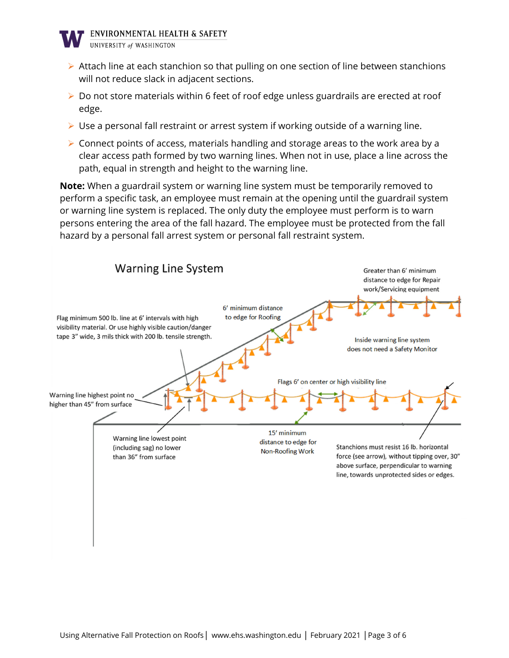

- $\triangleright$  Attach line at each stanchion so that pulling on one section of line between stanchions will not reduce slack in adjacent sections.
- $\triangleright$  Do not store materials within 6 feet of roof edge unless guardrails are erected at roof edge.
- $\triangleright$  Use a personal fall restraint or arrest system if working outside of a warning line.
- $\triangleright$  Connect points of access, materials handling and storage areas to the work area by a clear access path formed by two warning lines. When not in use, place a line across the path, equal in strength and height to the warning line.

**Note:** When a guardrail system or warning line system must be temporarily removed to perform a specific task, an employee must remain at the opening until the guardrail system or warning line system is replaced. The only duty the employee must perform is to warn persons entering the area of the fall hazard. The employee must be protected from the fall hazard by a personal fall arrest system or personal fall restraint system.

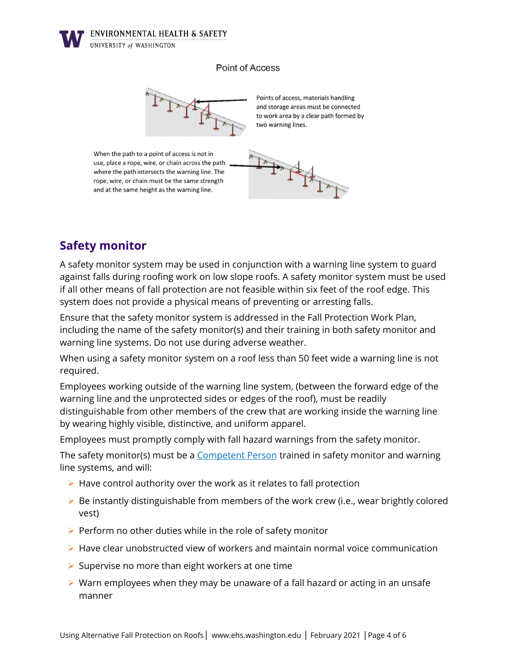**ENVIRONMENTAL HEALTH & SAFETY** 



#### **Point of Access**



# **Safety monitor**

A safety monitor system may be used in conjunction with a warning line system to guard against falls during roofing work on low slope roofs. A safety monitor system must be used if all other means of fall protection are not feasible within six feet of the roof edge. This system does not provide a physical means of preventing or arresting falls.

Ensure that the safety monitor system is addressed in the Fall Protection Work Plan, including the name of the safety monitor(s) and their training in both safety monitor and warning line systems. Do not use during adverse weather.

When using a safety monitor system on a roof less than 50 feet wide a warning line is not required.

Employees working outside of the warning line system, (between the forward edge of the warning line and the unprotected sides or edges of the roof), must be readily distinguishable from other members of the crew that are working inside the warning line by wearing highly visible, distinctive, and uniform apparel.

Employees must promptly comply with fall hazard warnings from the safety monitor.

The safety monitor(s) must be a Competent Person trained in safety monitor and warning line systems, and will:

- $\triangleright$  Have control authority over the work as it relates to fall protection
- $\triangleright$  Be instantly distinguishable from members of the work crew (i.e., wear brightly colored vest)
- $\triangleright$  Perform no other duties while in the role of safety monitor
- $\triangleright$  Have clear unobstructed view of workers and maintain normal voice communication
- $\triangleright$  Supervise no more than eight workers at one time
- $\triangleright$  Warn employees when they may be unaware of a fall hazard or acting in an unsafe manner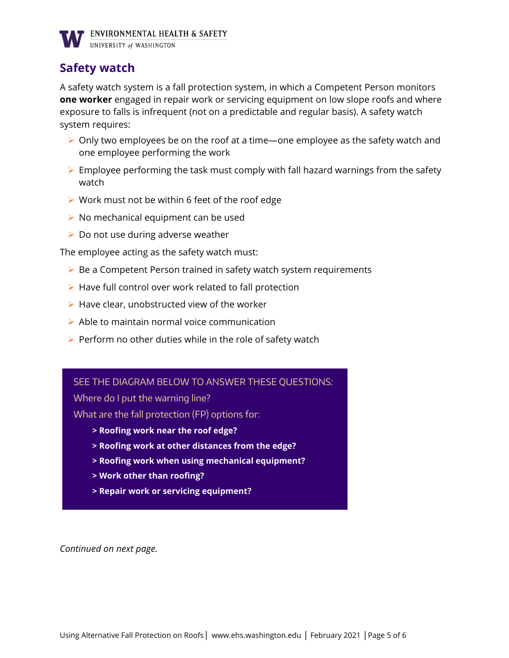

## **Safety watch**

A safety watch system is a fall protection system, in which a Competent Person monitors **one worker** engaged in repair work or servicing equipment on low slope roofs and where exposure to falls is infrequent (not on a predictable and regular basis). A safety watch system requires:

- $\triangleright$  Only two employees be on the roof at a time—one employee as the safety watch and one employee performing the work
- $\triangleright$  Employee performing the task must comply with fall hazard warnings from the safety watch
- $\triangleright$  Work must not be within 6 feet of the roof edge
- $\triangleright$  No mechanical equipment can be used
- $\triangleright$  Do not use during adverse weather

The employee acting as the safety watch must:

- $\triangleright$  Be a Competent Person trained in safety watch system requirements
- $\triangleright$  Have full control over work related to fall protection
- $\triangleright$  Have clear, unobstructed view of the worker
- $\triangleright$  Able to maintain normal voice communication
- $\triangleright$  Perform no other duties while in the role of safety watch

#### SEE THE DIAGRAM BELOW TO ANSWER THESE QUESTIONS:

Where do I put the warning line?

What are the fall protection (FP) options for:

- **> Roofing work near the roof edge?**
- **> Roofing work at other distances from the edge?**
- **> Roofing work when using mechanical equipment?**
- **> Work other than roofing?**
- **> Repair work or servicing equipment?**

*Continued on next page.*